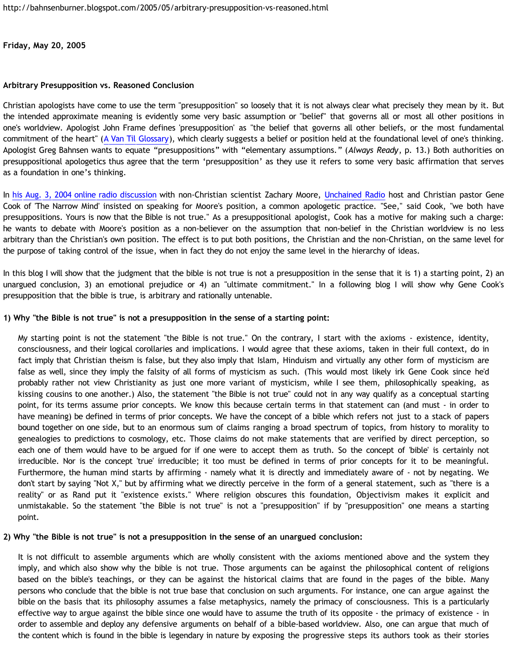**Friday, May 20, 2005**

### **Arbitrary Presupposition vs. Reasoned Conclusion**

Christian apologists have come to use the term "presupposition" so loosely that it is not always clear what precisely they mean by it. But the intended approximate meaning is evidently some very basic assumption or "belief" that governs all or most all other positions in one's worldview. Apologist John Frame defines 'presupposition' as "the belief that governs all other beliefs, or the most fundamental commitment of the heart" ([A Van Til Glossary](http://www.thirdmill.org/newfiles/joh_frame/PT.Frame.VanTil.Glossary.html)), which clearly suggests a belief or position held at the foundational level of one's thinking. Apologist Greg Bahnsen wants to equate "presuppositions" with "elementary assumptions." (*Always Ready*, p. 13.) Both authorities on presuppositional apologetics thus agree that the term 'presupposition' as they use it refers to some very basic affirmation that serves as a foundation in one's thinking.

In [his Aug. 3, 2004 online radio discussion](http://www.angelfire.com/oh/imladris/narrowmind/080304.htm) with non-Christian scientist Zachary Moore, [Unchained Radio](http://www.unchainedradio.com/nuke/index.php) host and Christian pastor Gene Cook of 'The Narrow Mind' insisted on speaking for Moore's position, a common apologetic practice. "See," said Cook, "we both have presuppositions. Yours is now that the Bible is not true." As a presuppositional apologist, Cook has a motive for making such a charge: he wants to debate with Moore's position as a non-believer on the assumption that non-belief in the Christian worldview is no less arbitrary than the Christian's own position. The effect is to put both positions, the Christian and the non-Christian, on the same level for the purpose of taking control of the issue, when in fact they do not enjoy the same level in the hierarchy of ideas.

In this blog I will show that the judgment that the bible is not true is not a presupposition in the sense that it is 1) a starting point, 2) an unargued conclusion, 3) an emotional prejudice or 4) an "ultimate commitment." In a following blog I will show why Gene Cook's presupposition that the bible is true, is arbitrary and rationally untenable.

# **1) Why "the Bible is not true" is not a presupposition in the sense of a starting point:**

My starting point is not the statement "the Bible is not true." On the contrary, I start with the axioms - existence, identity, consciousness, and their logical corollaries and implications. I would agree that these axioms, taken in their full context, do in fact imply that Christian theism is false, but they also imply that Islam, Hinduism and virtually any other form of mysticism are false as well, since they imply the falsity of all forms of mysticism as such. (This would most likely irk Gene Cook since he'd probably rather not view Christianity as just one more variant of mysticism, while I see them, philosophically speaking, as kissing cousins to one another.) Also, the statement "the Bible is not true" could not in any way qualify as a conceptual starting point, for its terms assume prior concepts. We know this because certain terms in that statement can (and must - in order to have meaning) be defined in terms of prior concepts. We have the concept of a bible which refers not just to a stack of papers bound together on one side, but to an enormous sum of claims ranging a broad spectrum of topics, from history to morality to genealogies to predictions to cosmology, etc. Those claims do not make statements that are verified by direct perception, so each one of them would have to be argued for if one were to accept them as truth. So the concept of 'bible' is certainly not irreducible. Nor is the concept 'true' irreducible; it too must be defined in terms of prior concepts for it to be meaningful. Furthermore, the human mind starts by affirming - namely what it is directly and immediately aware of - not by negating. We don't start by saying "Not X," but by affirming what we directly perceive in the form of a general statement, such as "there is a reality" or as Rand put it "existence exists." Where religion obscures this foundation, Objectivism makes it explicit and unmistakable. So the statement "the Bible is not true" is not a "presupposition" if by "presupposition" one means a starting point.

# **2) Why "the Bible is not true" is not a presupposition in the sense of an unargued conclusion:**

It is not difficult to assemble arguments which are wholly consistent with the axioms mentioned above and the system they imply, and which also show why the bible is not true. Those arguments can be against the philosophical content of religions based on the bible's teachings, or they can be against the historical claims that are found in the pages of the bible. Many persons who conclude that the bible is not true base that conclusion on such arguments. For instance, one can argue against the bible on the basis that its philosophy assumes a false metaphysics, namely the primacy of consciousness. This is a particularly effective way to argue against the bible since one would have to assume the truth of its opposite - the primacy of existence - in order to assemble and deploy any defensive arguments on behalf of a bible-based worldview. Also, one can argue that much of the content which is found in the bible is legendary in nature by exposing the progressive steps its authors took as their stories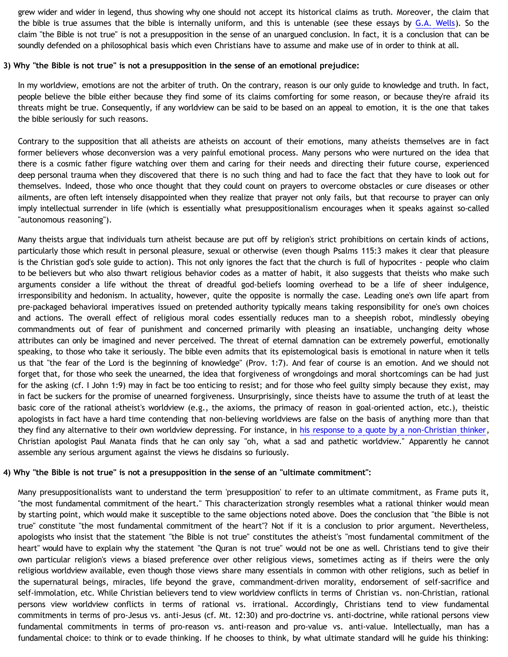grew wider and wider in legend, thus showing why one should not accept its historical claims as truth. Moreover, the claim that the bible is true assumes that the bible is internally uniform, and this is untenable (see these essays by [G.A. Wells](http://www.infidels.org/library/modern/g_a_wells/)). So the claim "the Bible is not true" is not a presupposition in the sense of an unargued conclusion. In fact, it is a conclusion that can be soundly defended on a philosophical basis which even Christians have to assume and make use of in order to think at all.

#### **3) Why "the Bible is not true" is not a presupposition in the sense of an emotional prejudice:**

In my worldview, emotions are not the arbiter of truth. On the contrary, reason is our only guide to knowledge and truth. In fact, people believe the bible either because they find some of its claims comforting for some reason, or because they're afraid its threats might be true. Consequently, if any worldview can be said to be based on an appeal to emotion, it is the one that takes the bible seriously for such reasons.

Contrary to the supposition that all atheists are atheists on account of their emotions, many atheists themselves are in fact former believers whose deconversion was a very painful emotional process. Many persons who were nurtured on the idea that there is a cosmic father figure watching over them and caring for their needs and directing their future course, experienced deep personal trauma when they discovered that there is no such thing and had to face the fact that they have to look out for themselves. Indeed, those who once thought that they could count on prayers to overcome obstacles or cure diseases or other ailments, are often left intensely disappointed when they realize that prayer not only fails, but that recourse to prayer can only imply intellectual surrender in life (which is essentially what presuppositionalism encourages when it speaks against so-called "autonomous reasoning").

Many theists argue that individuals turn atheist because are put off by religion's strict prohibitions on certain kinds of actions, particularly those which result in personal pleasure, sexual or otherwise (even though Psalms 115:3 makes it clear that pleasure is the Christian god's sole guide to action). This not only ignores the fact that the church is full of hypocrites - people who claim to be believers but who also thwart religious behavior codes as a matter of habit, it also suggests that theists who make such arguments consider a life without the threat of dreadful god-beliefs looming overhead to be a life of sheer indulgence, irresponsibility and hedonism. In actuality, however, quite the opposite is normally the case. Leading one's own life apart from pre-packaged behavioral imperatives issued on pretended authority typically means taking responsibility for one's own choices and actions. The overall effect of religious moral codes essentially reduces man to a sheepish robot, mindlessly obeying commandments out of fear of punishment and concerned primarily with pleasing an insatiable, unchanging deity whose attributes can only be imagined and never perceived. The threat of eternal damnation can be extremely powerful, emotionally speaking, to those who take it seriously. The bible even admits that its epistemological basis is emotional in nature when it tells us that "the fear of the Lord is the beginning of knowledge" (Prov. 1:7). And fear of course is an emotion. And we should not forget that, for those who seek the unearned, the idea that forgiveness of wrongdoings and moral shortcomings can be had just for the asking (cf. I John 1:9) may in fact be too enticing to resist; and for those who feel guilty simply because they exist, may in fact be suckers for the promise of unearned forgiveness. Unsurprisingly, since theists have to assume the truth of at least the basic core of the rational atheist's worldview (e.g., the axioms, the primacy of reason in goal-oriented action, etc.), theistic apologists in fact have a hard time contending that non-believing worldviews are false on the basis of anything more than that they find any alternative to their own worldview depressing. For instance, in [his response to a quote by a non-Christian thinker](http://presstheantithesis.blogspot.com/2005/05/filler.html), Christian apologist Paul Manata finds that he can only say "oh, what a sad and pathetic worldview." Apparently he cannot assemble any serious argument against the views he disdains so furiously.

#### **4) Why "the Bible is not true" is not a presupposition in the sense of an "ultimate commitment":**

Many presuppositionalists want to understand the term 'presupposition' to refer to an ultimate commitment, as Frame puts it, "the most fundamental commitment of the heart." This characterization strongly resembles what a rational thinker would mean by starting point, which would make it susceptible to the same objections noted above. Does the conclusion that "the Bible is not true" constitute "the most fundamental commitment of the heart"? Not if it is a conclusion to prior argument. Nevertheless, apologists who insist that the statement "the Bible is not true" constitutes the atheist's "most fundamental commitment of the heart" would have to explain why the statement "the Quran is not true" would not be one as well. Christians tend to give their own particular religion's views a biased preference over other religious views, sometimes acting as if theirs were the only religious worldview available, even though those views share many essentials in common with other religions, such as belief in the supernatural beings, miracles, life beyond the grave, commandment-driven morality, endorsement of self-sacrifice and self-immolation, etc. While Christian believers tend to view worldview conflicts in terms of Christian vs. non-Christian, rational persons view worldview conflicts in terms of rational vs. irrational. Accordingly, Christians tend to view fundamental commitments in terms of pro-Jesus vs. anti-Jesus (cf. Mt. 12:30) and pro-doctrine vs. anti-doctrine, while rational persons view fundamental commitments in terms of pro-reason vs. anti-reason and pro-value vs. anti-value. Intellectually, man has a fundamental choice: to think or to evade thinking. If he chooses to think, by what ultimate standard will he guide his thinking: